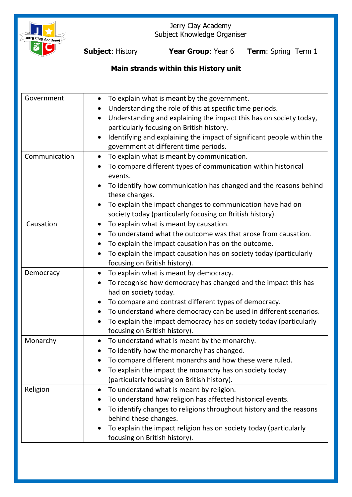

Jerry Clay Academy Subject Knowledge Organiser

**Subject**: History **Year Group**: Year 6 **Term**: Spring Term 1

# **Main strands within this History unit**

| Government    | To explain what is meant by the government.<br>$\bullet$<br>Understanding the role of this at specific time periods.<br>$\bullet$<br>Understanding and explaining the impact this has on society today,<br>$\bullet$<br>particularly focusing on British history.<br>Identifying and explaining the impact of significant people within the |
|---------------|---------------------------------------------------------------------------------------------------------------------------------------------------------------------------------------------------------------------------------------------------------------------------------------------------------------------------------------------|
|               | government at different time periods.                                                                                                                                                                                                                                                                                                       |
| Communication | To explain what is meant by communication.<br>$\bullet$<br>To compare different types of communication within historical<br>events.                                                                                                                                                                                                         |
|               | To identify how communication has changed and the reasons behind<br>these changes.                                                                                                                                                                                                                                                          |
|               | To explain the impact changes to communication have had on<br>society today (particularly focusing on British history).                                                                                                                                                                                                                     |
| Causation     | To explain what is meant by causation.<br>$\bullet$                                                                                                                                                                                                                                                                                         |
|               | To understand what the outcome was that arose from causation.<br>$\bullet$                                                                                                                                                                                                                                                                  |
|               | To explain the impact causation has on the outcome.                                                                                                                                                                                                                                                                                         |
|               | To explain the impact causation has on society today (particularly<br>focusing on British history).                                                                                                                                                                                                                                         |
| Democracy     | To explain what is meant by democracy.<br>$\bullet$                                                                                                                                                                                                                                                                                         |
|               | To recognise how democracy has changed and the impact this has<br>had on society today.                                                                                                                                                                                                                                                     |
|               | To compare and contrast different types of democracy.<br>$\bullet$                                                                                                                                                                                                                                                                          |
|               | To understand where democracy can be used in different scenarios.<br>$\bullet$                                                                                                                                                                                                                                                              |
|               | To explain the impact democracy has on society today (particularly<br>$\bullet$<br>focusing on British history).                                                                                                                                                                                                                            |
| Monarchy      | To understand what is meant by the monarchy.<br>$\bullet$                                                                                                                                                                                                                                                                                   |
|               | To identify how the monarchy has changed.<br>$\bullet$                                                                                                                                                                                                                                                                                      |
|               | To compare different monarchs and how these were ruled.                                                                                                                                                                                                                                                                                     |
|               | To explain the impact the monarchy has on society today                                                                                                                                                                                                                                                                                     |
|               | (particularly focusing on British history).                                                                                                                                                                                                                                                                                                 |
| Religion      | To understand what is meant by religion.                                                                                                                                                                                                                                                                                                    |
|               | To understand how religion has affected historical events.                                                                                                                                                                                                                                                                                  |
|               | To identify changes to religions throughout history and the reasons                                                                                                                                                                                                                                                                         |
|               | behind these changes.                                                                                                                                                                                                                                                                                                                       |
|               | To explain the impact religion has on society today (particularly                                                                                                                                                                                                                                                                           |
|               | focusing on British history).                                                                                                                                                                                                                                                                                                               |